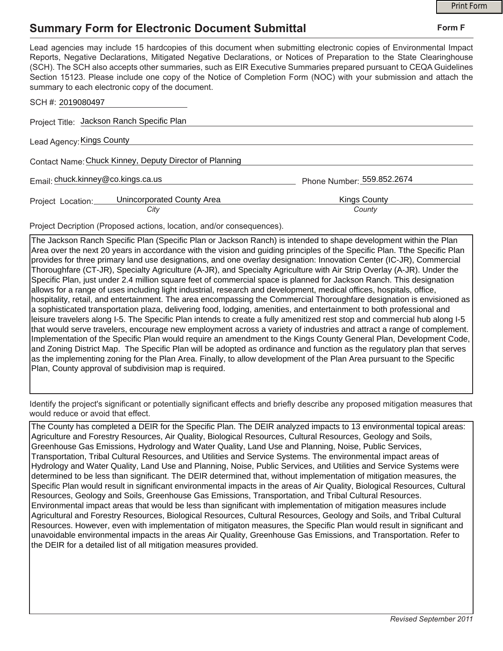## **Summary Form for Electronic Document Submittal**

|                                                                                                                                                                                                                                                                                                                                                                                                                                                                                                                                           |                            | <b>Print Form</b> |  |
|-------------------------------------------------------------------------------------------------------------------------------------------------------------------------------------------------------------------------------------------------------------------------------------------------------------------------------------------------------------------------------------------------------------------------------------------------------------------------------------------------------------------------------------------|----------------------------|-------------------|--|
| <b>Summary Form for Electronic Document Submittal</b>                                                                                                                                                                                                                                                                                                                                                                                                                                                                                     |                            | Form F            |  |
| Lead agencies may include 15 hardcopies of this document when submitting electronic copies of Environmental Impact<br>Reports, Negative Declarations, Mitigated Negative Declarations, or Notices of Preparation to the State Clearinghouse<br>(SCH). The SCH also accepts other summaries, such as EIR Executive Summaries prepared pursuant to CEQA Guidelines<br>Section 15123. Please include one copy of the Notice of Completion Form (NOC) with your submission and attach the<br>summary to each electronic copy of the document. |                            |                   |  |
| SCH #: 2019080497                                                                                                                                                                                                                                                                                                                                                                                                                                                                                                                         |                            |                   |  |
| Project Title: Jackson Ranch Specific Plan                                                                                                                                                                                                                                                                                                                                                                                                                                                                                                |                            |                   |  |
| Lead Agency: Kings County                                                                                                                                                                                                                                                                                                                                                                                                                                                                                                                 |                            |                   |  |
| Contact Name: Chuck Kinney, Deputy Director of Planning                                                                                                                                                                                                                                                                                                                                                                                                                                                                                   |                            |                   |  |
| Email: chuck.kinney@co.kings.ca.us                                                                                                                                                                                                                                                                                                                                                                                                                                                                                                        | Phone Number: 559.852.2674 |                   |  |
| Unincorporated County Area<br>Project Location:<br>City                                                                                                                                                                                                                                                                                                                                                                                                                                                                                   | Kings County<br>County     |                   |  |

Project Decription (Proposed actions, location, and/or consequences).

The Jackson Ranch Specific Plan (Specific Plan or Jackson Ranch) is intended to shape development within the Plan Area over the next 20 years in accordance with the vision and guiding principles of the Specific Plan. Tthe Specific Plan provides for three primary land use designations, and one overlay designation: Innovation Center (IC-JR), Commercial Thoroughfare (CT-JR), Specialty Agriculture (A-JR), and Specialty Agriculture with Air Strip Overlay (A-JR). Under the Specific Plan, just under 2.4 million square feet of commercial space is planned for Jackson Ranch. This designation allows for a range of uses including light industrial, research and development, medical offices, hospitals, office, hospitality, retail, and entertainment. The area encompassing the Commercial Thoroughfare designation is envisioned as a sophisticated transportation plaza, delivering food, lodging, amenities, and entertainment to both professional and leisure travelers along I-5. The Specific Plan intends to create a fully amenitized rest stop and commercial hub along I-5 that would serve travelers, encourage new employment across a variety of industries and attract a range of complement. Implementation of the Specific Plan would require an amendment to the Kings County General Plan, Development Code, and Zoning District Map. The Specific Plan will be adopted as ordinance and function as the regulatory plan that serves as the implementing zoning for the Plan Area. Finally, to allow development of the Plan Area pursuant to the Specific Plan, County approval of subdivision map is required.

Identify the project's significant or potentially significant effects and briefly describe any proposed mitigation measures that would reduce or avoid that effect.

The County has completed a DEIR for the Specific Plan. The DEIR analyzed impacts to 13 environmental topical areas: Agriculture and Forestry Resources, Air Quality, Biological Resources, Cultural Resources, Geology and Soils, Greenhouse Gas Emissions, Hydrology and Water Quality, Land Use and Planning, Noise, Public Services, Transportation, Tribal Cultural Resources, and Utilities and Service Systems. The environmental impact areas of Hydrology and Water Quality, Land Use and Planning, Noise, Public Services, and Utilities and Service Systems were determined to be less than significant. The DEIR determined that, without implementation of mitigation measures, the Specific Plan would result in significant environmental impacts in the areas of Air Quality, Biological Resources, Cultural Resources, Geology and Soils, Greenhouse Gas Emissions, Transportation, and Tribal Cultural Resources. Environmental impact areas that would be less than significant with implementation of mitigation measures include Agricultural and Forestry Resources, Biological Resources, Cultural Resources, Geology and Soils, and Tribal Cultural Resources. However, even with implementation of mitigaton measures, the Specific Plan would result in significant and unavoidable environmental impacts in the areas Air Quality, Greenhouse Gas Emissions, and Transportation. Refer to the DEIR for a detailed list of all mitigation measures provided.